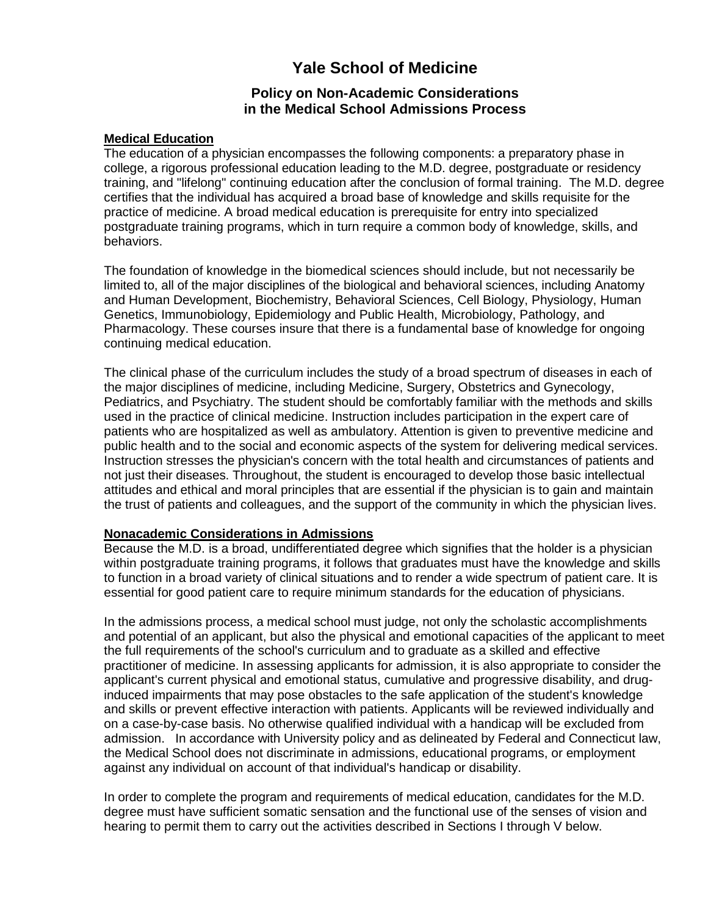# **Yale School of Medicine**

## **Policy on Non-Academic Considerations in the Medical School Admissions Process**

#### **Medical Education**

The education of a physician encompasses the following components: a preparatory phase in college, a rigorous professional education leading to the M.D. degree, postgraduate or residency training, and "lifelong" continuing education after the conclusion of formal training. The M.D. degree certifies that the individual has acquired a broad base of knowledge and skills requisite for the practice of medicine. A broad medical education is prerequisite for entry into specialized postgraduate training programs, which in turn require a common body of knowledge, skills, and behaviors.

The foundation of knowledge in the biomedical sciences should include, but not necessarily be limited to, all of the major disciplines of the biological and behavioral sciences, including Anatomy and Human Development, Biochemistry, Behavioral Sciences, Cell Biology, Physiology, Human Genetics, Immunobiology, Epidemiology and Public Health, Microbiology, Pathology, and Pharmacology. These courses insure that there is a fundamental base of knowledge for ongoing continuing medical education.

The clinical phase of the curriculum includes the study of a broad spectrum of diseases in each of the major disciplines of medicine, including Medicine, Surgery, Obstetrics and Gynecology, Pediatrics, and Psychiatry. The student should be comfortably familiar with the methods and skills used in the practice of clinical medicine. Instruction includes participation in the expert care of patients who are hospitalized as well as ambulatory. Attention is given to preventive medicine and public health and to the social and economic aspects of the system for delivering medical services. Instruction stresses the physician's concern with the total health and circumstances of patients and not just their diseases. Throughout, the student is encouraged to develop those basic intellectual attitudes and ethical and moral principles that are essential if the physician is to gain and maintain the trust of patients and colleagues, and the support of the community in which the physician lives.

#### **Nonacademic Considerations in Admissions**

Because the M.D. is a broad, undifferentiated degree which signifies that the holder is a physician within postgraduate training programs, it follows that graduates must have the knowledge and skills to function in a broad variety of clinical situations and to render a wide spectrum of patient care. It is essential for good patient care to require minimum standards for the education of physicians.

In the admissions process, a medical school must judge, not only the scholastic accomplishments and potential of an applicant, but also the physical and emotional capacities of the applicant to meet the full requirements of the school's curriculum and to graduate as a skilled and effective practitioner of medicine. In assessing applicants for admission, it is also appropriate to consider the applicant's current physical and emotional status, cumulative and progressive disability, and druginduced impairments that may pose obstacles to the safe application of the student's knowledge and skills or prevent effective interaction with patients. Applicants will be reviewed individually and on a case-by-case basis. No otherwise qualified individual with a handicap will be excluded from admission. In accordance with University policy and as delineated by Federal and Connecticut law, the Medical School does not discriminate in admissions, educational programs, or employment against any individual on account of that individual's handicap or disability.

In order to complete the program and requirements of medical education, candidates for the M.D. degree must have sufficient somatic sensation and the functional use of the senses of vision and hearing to permit them to carry out the activities described in Sections I through V below.